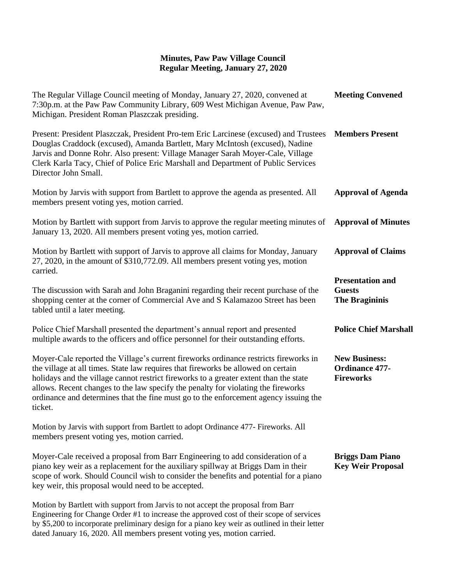## **Minutes, Paw Paw Village Council Regular Meeting, January 27, 2020**

| The Regular Village Council meeting of Monday, January 27, 2020, convened at<br>7:30p.m. at the Paw Paw Community Library, 609 West Michigan Avenue, Paw Paw,<br>Michigan. President Roman Plaszczak presiding.                                                                                                                                                                                                                                            | <b>Meeting Convened</b>                                           |
|------------------------------------------------------------------------------------------------------------------------------------------------------------------------------------------------------------------------------------------------------------------------------------------------------------------------------------------------------------------------------------------------------------------------------------------------------------|-------------------------------------------------------------------|
| Present: President Plaszczak, President Pro-tem Eric Larcinese (excused) and Trustees<br>Douglas Craddock (excused), Amanda Bartlett, Mary McIntosh (excused), Nadine<br>Jarvis and Donne Rohr. Also present: Village Manager Sarah Moyer-Cale, Village<br>Clerk Karla Tacy, Chief of Police Eric Marshall and Department of Public Services<br>Director John Small.                                                                                       | <b>Members Present</b>                                            |
| Motion by Jarvis with support from Bartlett to approve the agenda as presented. All<br>members present voting yes, motion carried.                                                                                                                                                                                                                                                                                                                         | <b>Approval of Agenda</b>                                         |
| Motion by Bartlett with support from Jarvis to approve the regular meeting minutes of<br>January 13, 2020. All members present voting yes, motion carried.                                                                                                                                                                                                                                                                                                 | <b>Approval of Minutes</b>                                        |
| Motion by Bartlett with support of Jarvis to approve all claims for Monday, January<br>27, 2020, in the amount of \$310,772.09. All members present voting yes, motion<br>carried.                                                                                                                                                                                                                                                                         | <b>Approval of Claims</b>                                         |
| The discussion with Sarah and John Braganini regarding their recent purchase of the<br>shopping center at the corner of Commercial Ave and S Kalamazoo Street has been<br>tabled until a later meeting.                                                                                                                                                                                                                                                    | <b>Presentation and</b><br><b>Guests</b><br><b>The Bragininis</b> |
| Police Chief Marshall presented the department's annual report and presented<br>multiple awards to the officers and office personnel for their outstanding efforts.                                                                                                                                                                                                                                                                                        | <b>Police Chief Marshall</b>                                      |
| Moyer-Cale reported the Village's current fireworks ordinance restricts fireworks in<br>the village at all times. State law requires that fireworks be allowed on certain<br>holidays and the village cannot restrict fireworks to a greater extent than the state<br>allows. Recent changes to the law specify the penalty for violating the fireworks<br>ordinance and determines that the fine must go to the enforcement agency issuing the<br>ticket. | <b>New Business:</b><br><b>Ordinance 477-</b><br><b>Fireworks</b> |
| Motion by Jarvis with support from Bartlett to adopt Ordinance 477- Fireworks. All<br>members present voting yes, motion carried.                                                                                                                                                                                                                                                                                                                          |                                                                   |
| Moyer-Cale received a proposal from Barr Engineering to add consideration of a<br>piano key weir as a replacement for the auxiliary spillway at Briggs Dam in their<br>scope of work. Should Council wish to consider the benefits and potential for a piano<br>key weir, this proposal would need to be accepted.                                                                                                                                         | <b>Briggs Dam Piano</b><br><b>Key Weir Proposal</b>               |
| Motion by Bartlett with support from Jarvis to not accept the proposal from Barr<br>Engineering for Change Order #1 to increase the approved cost of their scope of services<br>by \$5,200 to incorporate preliminary design for a piano key weir as outlined in their letter                                                                                                                                                                              |                                                                   |

dated January 16, 2020. All members present voting yes, motion carried.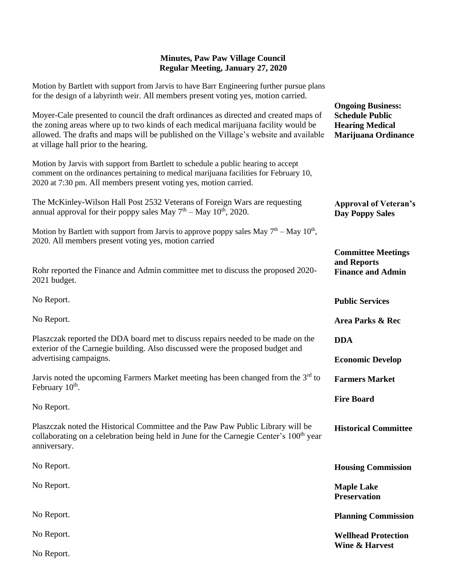## **Minutes, Paw Paw Village Council Regular Meeting, January 27, 2020**

Motion by Bartlett with support from Jarvis to have Barr Engineering further pursue plans for the design of a labyrinth weir. All members present voting yes, motion carried.

| Moyer-Cale presented to council the draft ordinances as directed and created maps of<br>the zoning areas where up to two kinds of each medical marijuana facility would be<br>allowed. The drafts and maps will be published on the Village's website and available<br>at village hall prior to the hearing. | <b>Ongoing Business:</b><br><b>Schedule Public</b><br><b>Hearing Medical</b><br><b>Marijuana Ordinance</b> |
|--------------------------------------------------------------------------------------------------------------------------------------------------------------------------------------------------------------------------------------------------------------------------------------------------------------|------------------------------------------------------------------------------------------------------------|
| Motion by Jarvis with support from Bartlett to schedule a public hearing to accept<br>comment on the ordinances pertaining to medical marijuana facilities for February 10,<br>2020 at 7:30 pm. All members present voting yes, motion carried.                                                              |                                                                                                            |
| The McKinley-Wilson Hall Post 2532 Veterans of Foreign Wars are requesting<br>annual approval for their poppy sales May $7th -$ May $10th$ , 2020.                                                                                                                                                           | <b>Approval of Veteran's</b><br><b>Day Poppy Sales</b>                                                     |
| Motion by Bartlett with support from Jarvis to approve poppy sales May $7th - May 10th$ ,<br>2020. All members present voting yes, motion carried                                                                                                                                                            |                                                                                                            |
| Rohr reported the Finance and Admin committee met to discuss the proposed 2020-<br>2021 budget.                                                                                                                                                                                                              | <b>Committee Meetings</b><br>and Reports<br><b>Finance and Admin</b>                                       |
| No Report.                                                                                                                                                                                                                                                                                                   | <b>Public Services</b>                                                                                     |
| No Report.                                                                                                                                                                                                                                                                                                   | Area Parks & Rec                                                                                           |
| Plaszczak reported the DDA board met to discuss repairs needed to be made on the<br>exterior of the Carnegie building. Also discussed were the proposed budget and<br>advertising campaigns.                                                                                                                 | <b>DDA</b><br><b>Economic Develop</b>                                                                      |
| Jarvis noted the upcoming Farmers Market meeting has been changed from the $3rd$ to<br>February 10 <sup>th</sup> .                                                                                                                                                                                           | <b>Farmers Market</b>                                                                                      |
| No Report.                                                                                                                                                                                                                                                                                                   | <b>Fire Board</b>                                                                                          |
| Plaszczak noted the Historical Committee and the Paw Paw Public Library will be<br>collaborating on a celebration being held in June for the Carnegie Center's 100 <sup>th</sup> year<br>anniversary.                                                                                                        | <b>Historical Committee</b>                                                                                |
| No Report.                                                                                                                                                                                                                                                                                                   | <b>Housing Commission</b>                                                                                  |
| No Report.                                                                                                                                                                                                                                                                                                   | <b>Maple Lake</b><br><b>Preservation</b>                                                                   |
| No Report.                                                                                                                                                                                                                                                                                                   | <b>Planning Commission</b>                                                                                 |
| No Report.                                                                                                                                                                                                                                                                                                   | <b>Wellhead Protection</b>                                                                                 |
| No Report.                                                                                                                                                                                                                                                                                                   | <b>Wine &amp; Harvest</b>                                                                                  |